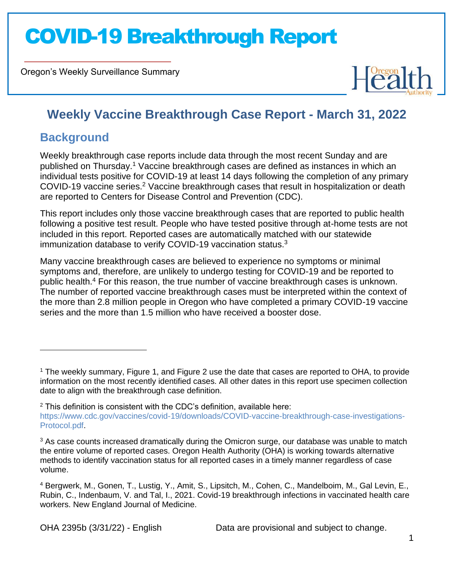Oregon's Weekly Surveillance Summary



### **Weekly Vaccine Breakthrough Case Report - March 31, 2022**

### **Background**

Weekly breakthrough case reports include data through the most recent Sunday and are published on Thursday.<sup>1</sup> Vaccine breakthrough cases are defined as instances in which an individual tests positive for COVID-19 at least 14 days following the completion of any primary COVID-19 vaccine series.<sup>2</sup> Vaccine breakthrough cases that result in hospitalization or death are reported to Centers for Disease Control and Prevention (CDC).

This report includes only those vaccine breakthrough cases that are reported to public health following a positive test result. People who have tested positive through at-home tests are not included in this report. Reported cases are automatically matched with our statewide immunization database to verify COVID-19 vaccination status.<sup>3</sup>

Many vaccine breakthrough cases are believed to experience no symptoms or minimal symptoms and, therefore, are unlikely to undergo testing for COVID-19 and be reported to public health.<sup>4</sup> For this reason, the true number of vaccine breakthrough cases is unknown. The number of reported vaccine breakthrough cases must be interpreted within the context of the more than 2.8 million people in Oregon who have completed a primary COVID-19 vaccine series and the more than 1.5 million who have received a booster dose.

<sup>1</sup> The weekly summary, Figure 1, and Figure 2 use the date that cases are reported to OHA, to provide information on the most recently identified cases. All other dates in this report use specimen collection date to align with the breakthrough case definition.

 $2$  This definition is consistent with the CDC's definition, available here: [https://www.cdc.gov/vaccines/covid-19/downloads/COVID-vaccine-breakthrough-case-investigations-](https://www.cdc.gov/vaccines/covid-19/downloads/COVID-vaccine-breakthrough-case-investigations-Protocol.pdf)[Protocol.pdf.](https://www.cdc.gov/vaccines/covid-19/downloads/COVID-vaccine-breakthrough-case-investigations-Protocol.pdf)

<sup>&</sup>lt;sup>3</sup> As case counts increased dramatically during the Omicron surge, our database was unable to match the entire volume of reported cases. Oregon Health Authority (OHA) is working towards alternative methods to identify vaccination status for all reported cases in a timely manner regardless of case volume.

<sup>4</sup> Bergwerk, M., Gonen, T., Lustig, Y., Amit, S., Lipsitch, M., Cohen, C., Mandelboim, M., Gal Levin, E., Rubin, C., Indenbaum, V. and Tal, I., 2021. Covid-19 breakthrough infections in vaccinated health care workers. New England Journal of Medicine.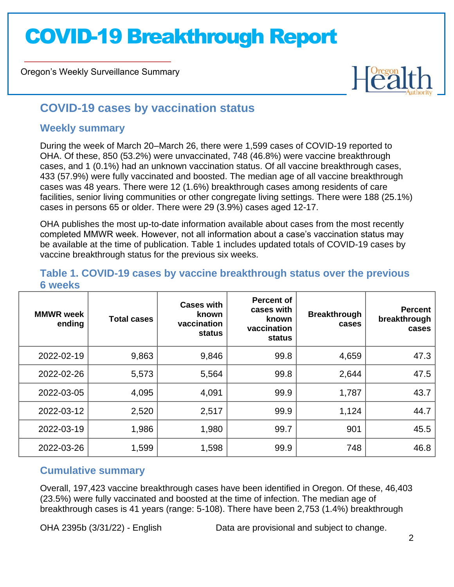Oregon's Weekly Surveillance Summary



### **COVID-19 cases by vaccination status**

#### **Weekly summary**

During the week of March 20–March 26, there were 1,599 cases of COVID-19 reported to OHA. Of these, 850 (53.2%) were unvaccinated, 748 (46.8%) were vaccine breakthrough cases, and 1 (0.1%) had an unknown vaccination status. Of all vaccine breakthrough cases, 433 (57.9%) were fully vaccinated and boosted. The median age of all vaccine breakthrough cases was 48 years. There were 12 (1.6%) breakthrough cases among residents of care facilities, senior living communities or other congregate living settings. There were 188 (25.1%) cases in persons 65 or older. There were 29 (3.9%) cases aged 12-17.

OHA publishes the most up-to-date information available about cases from the most recently completed MMWR week. However, not all information about a case's vaccination status may be available at the time of publication. Table 1 includes updated totals of COVID-19 cases by vaccine breakthrough status for the previous six weeks.

#### **6 weeks MMWR week ending Total cases Cases with known vaccination status Percent of cases with known vaccination status Breakthrough cases Percent breakthrough cases** 2022-02-19 | 9,863 | 9,846 | 99.8 | 4,659 | 47.3 2022-02-26 | 5,573 | 5,564 | 99.8 | 2,644 | 47.5 2022-03-05 | 4,095 | 4,091 | 99.9 | 1,787 | 43.7 2022-03-12 2,520 2,517 99.9 1,124 44.7 2022-03-19 | 1,986 | 1,980 | 99.7 | 901 | 45.5 2022-03-26 | 1,599 | 1,598 | 99.9 | 748 | 46.8

### **Table 1. COVID-19 cases by vaccine breakthrough status over the previous**

### **Cumulative summary**

Overall, 197,423 vaccine breakthrough cases have been identified in Oregon. Of these, 46,403 (23.5%) were fully vaccinated and boosted at the time of infection. The median age of breakthrough cases is 41 years (range: 5-108). There have been 2,753 (1.4%) breakthrough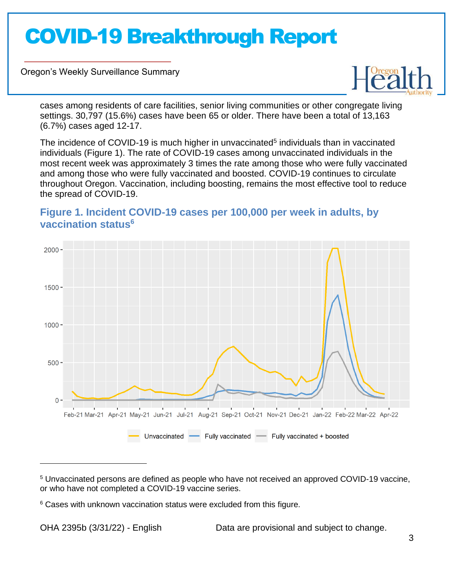Oregon's Weekly Surveillance Summary



cases among residents of care facilities, senior living communities or other congregate living settings. 30,797 (15.6%) cases have been 65 or older. There have been a total of 13,163 (6.7%) cases aged 12-17.

The incidence of COVID-19 is much higher in unvaccinated<sup>5</sup> individuals than in vaccinated individuals (Figure 1). The rate of COVID-19 cases among unvaccinated individuals in the most recent week was approximately 3 times the rate among those who were fully vaccinated and among those who were fully vaccinated and boosted. COVID-19 continues to circulate throughout Oregon. Vaccination, including boosting, remains the most effective tool to reduce the spread of COVID-19.

### **Figure 1. Incident COVID-19 cases per 100,000 per week in adults, by vaccination status<sup>6</sup>**



<sup>5</sup> Unvaccinated persons are defined as people who have not received an approved COVID-19 vaccine, or who have not completed a COVID-19 vaccine series.

<sup>&</sup>lt;sup>6</sup> Cases with unknown vaccination status were excluded from this figure.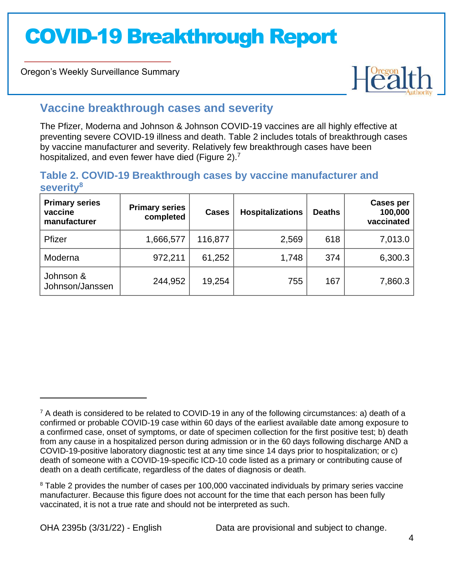Oregon's Weekly Surveillance Summary



### **Vaccine breakthrough cases and severity**

The Pfizer, Moderna and Johnson & Johnson COVID-19 vaccines are all highly effective at preventing severe COVID-19 illness and death. Table 2 includes totals of breakthrough cases by vaccine manufacturer and severity. Relatively few breakthrough cases have been hospitalized, and even fewer have died (Figure 2).<sup>7</sup>

#### **Table 2. COVID-19 Breakthrough cases by vaccine manufacturer and severity<sup>8</sup>**

| <b>Primary series</b><br>vaccine<br>manufacturer | <b>Primary series</b><br>completed | <b>Cases</b> | <b>Hospitalizations</b> | <b>Deaths</b> | <b>Cases per</b><br>100,000<br>vaccinated |
|--------------------------------------------------|------------------------------------|--------------|-------------------------|---------------|-------------------------------------------|
| Pfizer                                           | 1,666,577                          | 116,877      | 2,569                   | 618           | 7,013.0                                   |
| Moderna                                          | 972,211                            | 61,252       | 1,748                   | 374           | 6,300.3                                   |
| Johnson &<br>Johnson/Janssen                     | 244,952                            | 19,254       | 755                     | 167           | 7,860.3                                   |

<sup>8</sup> Table 2 provides the number of cases per 100,000 vaccinated individuals by primary series vaccine manufacturer. Because this figure does not account for the time that each person has been fully vaccinated, it is not a true rate and should not be interpreted as such.

 $7$  A death is considered to be related to COVID-19 in any of the following circumstances: a) death of a confirmed or probable COVID-19 case within 60 days of the earliest available date among exposure to a confirmed case, onset of symptoms, or date of specimen collection for the first positive test; b) death from any cause in a hospitalized person during admission or in the 60 days following discharge AND a COVID-19-positive laboratory diagnostic test at any time since 14 days prior to hospitalization; or c) death of someone with a COVID-19-specific ICD-10 code listed as a primary or contributing cause of death on a death certificate, regardless of the dates of diagnosis or death.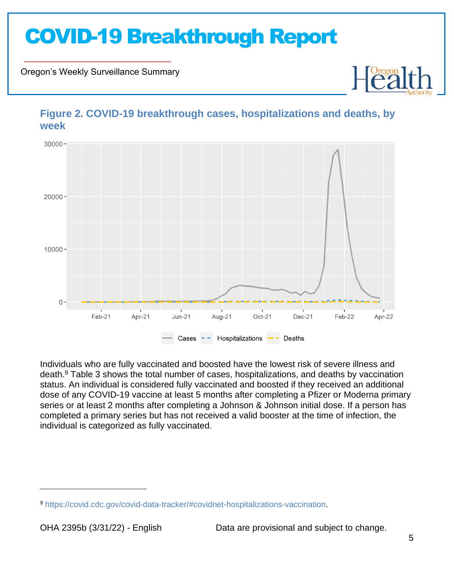Oregon's Weekly Surveillance Summary



**Figure 2. COVID-19 breakthrough cases, hospitalizations and deaths, by week**

Individuals who are fully vaccinated and boosted have the lowest risk of severe illness and death.<sup>9</sup> Table 3 shows the total number of cases, hospitalizations, and deaths by vaccination status. An individual is considered fully vaccinated and boosted if they received an additional dose of any COVID-19 vaccine at least 5 months after completing a Pfizer or Moderna primary series or at least 2 months after completing a Johnson & Johnson initial dose. If a person has completed a primary series but has not received a valid booster at the time of infection, the individual is categorized as fully vaccinated.

<sup>9</sup> [https://covid.cdc.gov/covid-data-tracker/#covidnet-hospitalizations-vaccination.](https://covid.cdc.gov/covid-data-tracker/#covidnet-hospitalizations-vaccination)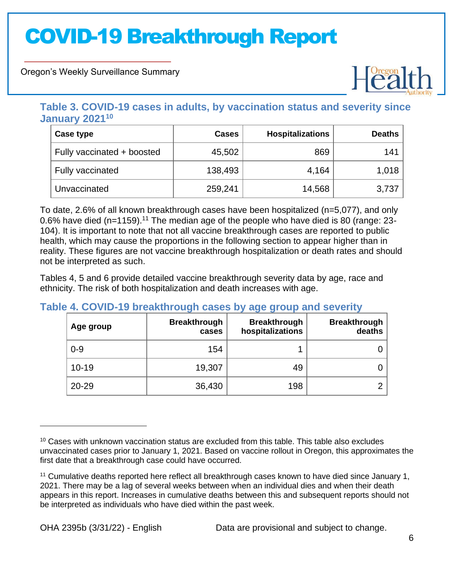Oregon's Weekly Surveillance Summary



### **Table 3. COVID-19 cases in adults, by vaccination status and severity since January 2021<sup>10</sup>**

| Case type                  | <b>Cases</b> | <b>Hospitalizations</b> | <b>Deaths</b> |
|----------------------------|--------------|-------------------------|---------------|
| Fully vaccinated + boosted | 45,502       | 869                     | 141           |
| Fully vaccinated           | 138,493      | 4,164                   | 1,018         |
| Unvaccinated               | 259,241      | 14,568                  | 3,737         |

To date, 2.6% of all known breakthrough cases have been hospitalized (n=5,077), and only 0.6% have died ( $n=1159$ ).<sup>11</sup> The median age of the people who have died is 80 (range: 23-104). It is important to note that not all vaccine breakthrough cases are reported to public health, which may cause the proportions in the following section to appear higher than in reality. These figures are not vaccine breakthrough hospitalization or death rates and should not be interpreted as such.

Tables 4, 5 and 6 provide detailed vaccine breakthrough severity data by age, race and ethnicity. The risk of both hospitalization and death increases with age.

### **Table 4. COVID-19 breakthrough cases by age group and severity**

| Age group | <b>Breakthrough</b><br>cases | <b>Breakthrough</b><br>hospitalizations | <b>Breakthrough</b><br>deaths |
|-----------|------------------------------|-----------------------------------------|-------------------------------|
| $0 - 9$   | 154                          |                                         |                               |
| $10 - 19$ | 19,307                       | 49                                      |                               |
| 20-29     | 36,430                       | 198                                     |                               |

 $10$  Cases with unknown vaccination status are excluded from this table. This table also excludes unvaccinated cases prior to January 1, 2021. Based on vaccine rollout in Oregon, this approximates the first date that a breakthrough case could have occurred.

<sup>11</sup> Cumulative deaths reported here reflect all breakthrough cases known to have died since January 1, 2021. There may be a lag of several weeks between when an individual dies and when their death appears in this report. Increases in cumulative deaths between this and subsequent reports should not be interpreted as individuals who have died within the past week.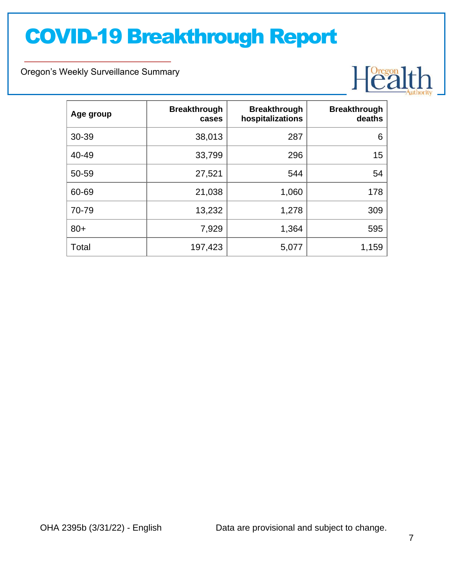Oregon's Weekly Surveillance Summary



| Age group | <b>Breakthrough</b><br>cases | <b>Breakthrough</b><br>hospitalizations | <b>Breakthrough</b><br>deaths |
|-----------|------------------------------|-----------------------------------------|-------------------------------|
| 30-39     | 38,013                       | 287                                     | 6                             |
| 40-49     | 33,799                       | 296                                     | 15                            |
| 50-59     | 27,521                       | 544                                     | 54                            |
| 60-69     | 21,038                       | 1,060                                   | 178                           |
| 70-79     | 13,232                       | 1,278                                   | 309                           |
| $80+$     | 7,929                        | 1,364                                   | 595                           |
| Total     | 197,423                      | 5,077                                   | 1,159                         |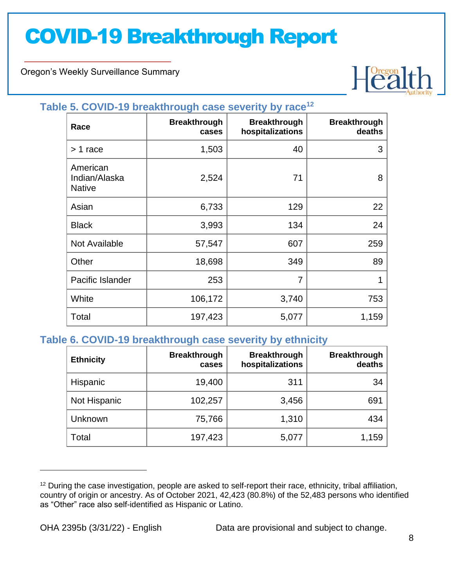Oregon's Weekly Surveillance Summary



#### **Table 5. COVID-19 breakthrough case severity by race<sup>12</sup>**

| Race                                       | <b>Breakthrough</b><br>cases | <b>Breakthrough</b><br>hospitalizations | <b>Breakthrough</b><br>deaths |
|--------------------------------------------|------------------------------|-----------------------------------------|-------------------------------|
| $> 1$ race                                 | 1,503                        | 40                                      | 3                             |
| American<br>Indian/Alaska<br><b>Native</b> | 2,524                        | 71                                      | 8                             |
| Asian                                      | 6,733                        | 129                                     | 22                            |
| <b>Black</b>                               | 3,993                        | 134                                     | 24                            |
| Not Available                              | 57,547                       | 607                                     | 259                           |
| Other                                      | 18,698                       | 349                                     | 89                            |
| Pacific Islander                           | 253                          | $\overline{7}$                          | 1                             |
| White                                      | 106,172                      | 3,740                                   | 753                           |
| Total                                      | 197,423                      | 5,077                                   | 1,159                         |

#### **Table 6. COVID-19 breakthrough case severity by ethnicity**

| <b>Ethnicity</b> | <b>Breakthrough</b><br>cases | <b>Breakthrough</b><br>hospitalizations | <b>Breakthrough</b><br>deaths |
|------------------|------------------------------|-----------------------------------------|-------------------------------|
| Hispanic         | 19,400                       | 311                                     | 34                            |
| Not Hispanic     | 102,257                      | 3,456                                   | 691                           |
| Unknown          | 75,766                       | 1,310                                   | 434                           |
| Total            | 197,423                      | 5,077                                   | 1,159                         |

<sup>&</sup>lt;sup>12</sup> During the case investigation, people are asked to self-report their race, ethnicity, tribal affiliation, country of origin or ancestry. As of October 2021, 42,423 (80.8%) of the 52,483 persons who identified as "Other" race also self-identified as Hispanic or Latino.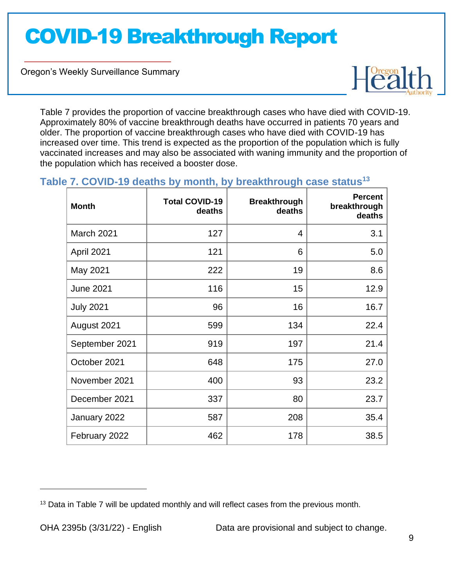Oregon's Weekly Surveillance Summary



Table 7 provides the proportion of vaccine breakthrough cases who have died with COVID-19. Approximately 80% of vaccine breakthrough deaths have occurred in patients 70 years and older. The proportion of vaccine breakthrough cases who have died with COVID-19 has increased over time. This trend is expected as the proportion of the population which is fully vaccinated increases and may also be associated with waning immunity and the proportion of the population which has received a booster dose.

### **Table 7. COVID-19 deaths by month, by breakthrough case status<sup>13</sup>**

| <b>Month</b>      | <b>Total COVID-19</b><br>deaths | <b>Breakthrough</b><br>deaths | <b>Percent</b><br>breakthrough<br>deaths |
|-------------------|---------------------------------|-------------------------------|------------------------------------------|
| <b>March 2021</b> | 127                             | 4                             | 3.1                                      |
| April 2021        | 121                             | 6                             | 5.0                                      |
| May 2021          | 222                             | 19                            | 8.6                                      |
| <b>June 2021</b>  | 116                             | 15                            | 12.9                                     |
| <b>July 2021</b>  | 96                              | 16                            | 16.7                                     |
| August 2021       | 599                             | 134                           | 22.4                                     |
| September 2021    | 919                             | 197                           | 21.4                                     |
| October 2021      | 648                             | 175                           | 27.0                                     |
| November 2021     | 400                             | 93                            | 23.2                                     |
| December 2021     | 337                             | 80                            | 23.7                                     |
| January 2022      | 587                             | 208                           | 35.4                                     |
| February 2022     | 462                             | 178                           | 38.5                                     |

<sup>&</sup>lt;sup>13</sup> Data in Table 7 will be updated monthly and will reflect cases from the previous month.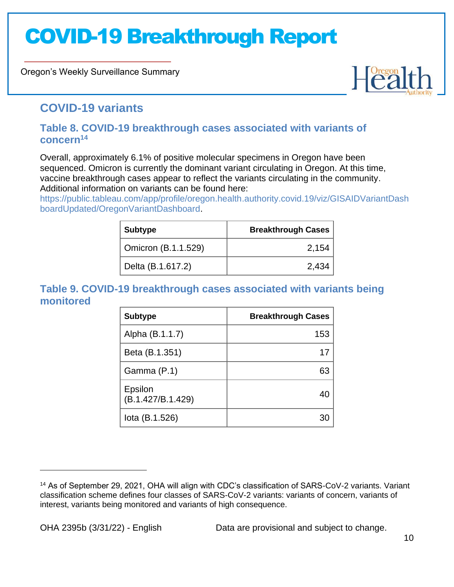Oregon's Weekly Surveillance Summary



### **COVID-19 variants**

#### **Table 8. COVID-19 breakthrough cases associated with variants of concern<sup>14</sup>**

Overall, approximately 6.1% of positive molecular specimens in Oregon have been sequenced. Omicron is currently the dominant variant circulating in Oregon. At this time, vaccine breakthrough cases appear to reflect the variants circulating in the community. Additional information on variants can be found here:

[https://public.tableau.com/app/profile/oregon.health.authority.covid.19/viz/GISAIDVariantDash](https://public.tableau.com/app/profile/oregon.health.authority.covid.19/viz/GISAIDVariantDashboardUpdated/OregonVariantDashboard) [boardUpdated/OregonVariantDashboard.](https://public.tableau.com/app/profile/oregon.health.authority.covid.19/viz/GISAIDVariantDashboardUpdated/OregonVariantDashboard)

| <b>Subtype</b>      | <b>Breakthrough Cases</b> |
|---------------------|---------------------------|
| Omicron (B.1.1.529) | 2,154                     |
| Delta (B.1.617.2)   | 2,434                     |

### **Table 9. COVID-19 breakthrough cases associated with variants being monitored**

| <b>Subtype</b>               | <b>Breakthrough Cases</b> |
|------------------------------|---------------------------|
| Alpha (B.1.1.7)              | 153                       |
| Beta (B.1.351)               |                           |
| Gamma (P.1)                  |                           |
| Epsilon<br>(B.1.427/B.1.429) |                           |
| lota (B.1.526)               |                           |

<sup>14</sup> As of September 29, 2021, OHA will align with CDC's classification of SARS-CoV-2 variants. Variant classification scheme defines four classes of SARS-CoV-2 variants: variants of concern, variants of interest, variants being monitored and variants of high consequence.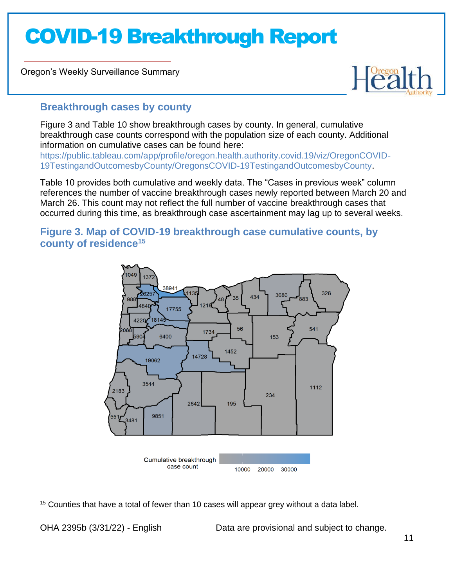Oregon's Weekly Surveillance Summary



### **Breakthrough cases by county**

Figure 3 and Table 10 show breakthrough cases by county. In general, cumulative breakthrough case counts correspond with the population size of each county. Additional information on cumulative cases can be found here: [https://public.tableau.com/app/profile/oregon.health.authority.covid.19/viz/OregonCOVID-](https://public.tableau.com/app/profile/oregon.health.authority.covid.19/viz/OregonCOVID-19TestingandOutcomesbyCounty/OregonsCOVID-19TestingandOutcomesbyCounty)[19TestingandOutcomesbyCounty/OregonsCOVID-19TestingandOutcomesbyCounty.](https://public.tableau.com/app/profile/oregon.health.authority.covid.19/viz/OregonCOVID-19TestingandOutcomesbyCounty/OregonsCOVID-19TestingandOutcomesbyCounty)

Table 10 provides both cumulative and weekly data. The "Cases in previous week" column references the number of vaccine breakthrough cases newly reported between March 20 and March 26. This count may not reflect the full number of vaccine breakthrough cases that occurred during this time, as breakthrough case ascertainment may lag up to several weeks.

### **Figure 3. Map of COVID-19 breakthrough case cumulative counts, by county of residence<sup>15</sup>**



 $15$  Counties that have a total of fewer than 10 cases will appear grey without a data label.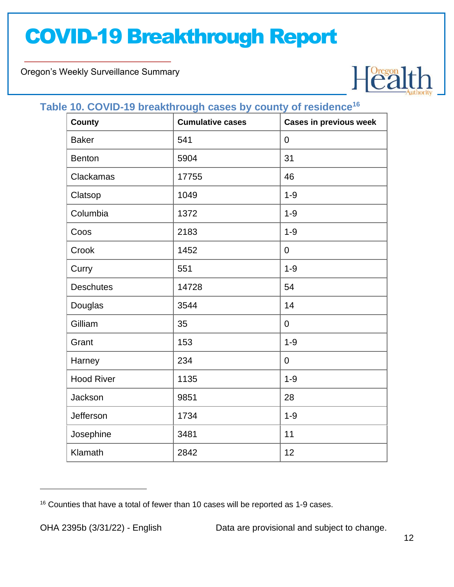Oregon's Weekly Surveillance Summary



### **Table 10. COVID-19 breakthrough cases by county of residence<sup>16</sup>**

| <b>County</b>     | $\sim$<br><b>Cumulative cases</b> | <b>Cases in previous week</b> |
|-------------------|-----------------------------------|-------------------------------|
| <b>Baker</b>      | 541                               | $\boldsymbol{0}$              |
| <b>Benton</b>     | 5904                              | 31                            |
| Clackamas         | 17755                             | 46                            |
| Clatsop           | 1049                              | $1 - 9$                       |
| Columbia          | 1372                              | $1 - 9$                       |
| Coos              | 2183                              | $1 - 9$                       |
| Crook             | 1452                              | $\mathbf 0$                   |
| Curry             | 551                               | $1 - 9$                       |
| <b>Deschutes</b>  | 14728                             | 54                            |
| Douglas           | 3544                              | 14                            |
| Gilliam           | 35                                | $\overline{0}$                |
| Grant             | 153                               | $1 - 9$                       |
| Harney            | 234                               | $\overline{0}$                |
| <b>Hood River</b> | 1135                              | $1 - 9$                       |
| Jackson           | 9851                              | 28                            |
| Jefferson         | 1734                              | $1 - 9$                       |
| Josephine         | 3481                              | 11                            |
| Klamath           | 2842                              | 12                            |

 $16$  Counties that have a total of fewer than 10 cases will be reported as 1-9 cases.